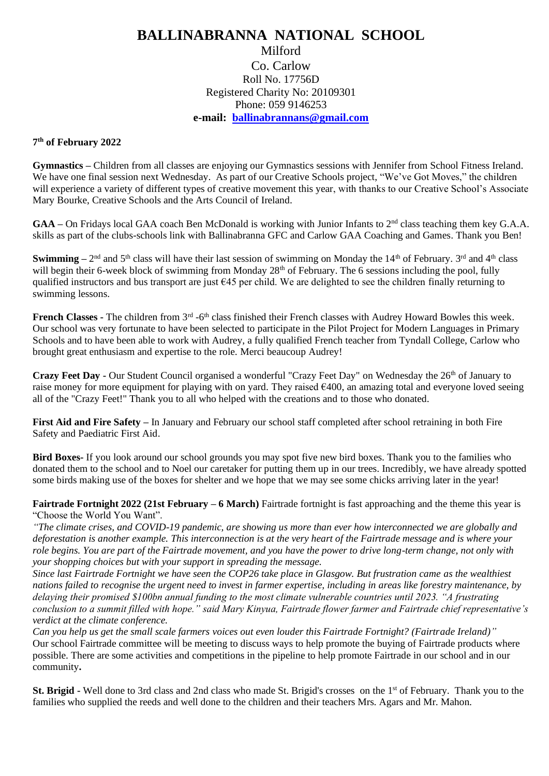## **BALLINABRANNA NATIONAL SCHOOL** Milford Co. Carlow Roll No. 17756D Registered Charity No: 20109301 Phone: 059 9146253 **e-mail: [ballinabrannans@gmail.com](mailto:ballinabrannans@gmail.com)**

## **7 th of February 2022**

**Gymnastics –** Children from all classes are enjoying our Gymnastics sessions with Jennifer from School Fitness Ireland. We have one final session next Wednesday. As part of our Creative Schools project, "We've Got Moves," the children will experience a variety of different types of creative movement this year, with thanks to our Creative School's Associate Mary Bourke, Creative Schools and the Arts Council of Ireland.

GAA – On Fridays local GAA coach Ben McDonald is working with Junior Infants to 2<sup>nd</sup> class teaching them key G.A.A. skills as part of the clubs-schools link with Ballinabranna GFC and Carlow GAA Coaching and Games. Thank you Ben!

**Swimming** –  $2<sup>nd</sup>$  and 5<sup>th</sup> class will have their last session of swimming on Monday the  $14<sup>th</sup>$  of February.  $3<sup>rd</sup>$  and  $4<sup>th</sup>$  class will begin their 6-week block of swimming from Monday 28<sup>th</sup> of February. The 6 sessions including the pool, fully qualified instructors and bus transport are just  $645$  per child. We are delighted to see the children finally returning to swimming lessons.

French Classes - The children from 3<sup>rd</sup> -6<sup>th</sup> class finished their French classes with Audrey Howard Bowles this week. Our school was very fortunate to have been selected to participate in the Pilot Project for Modern Languages in Primary Schools and to have been able to work with Audrey, a fully qualified French teacher from Tyndall College, Carlow who brought great enthusiasm and expertise to the role. Merci beaucoup Audrey!

**Crazy Feet Day -** Our Student Council organised a wonderful "Crazy Feet Day" on Wednesday the 26<sup>th</sup> of January to raise money for more equipment for playing with on yard. They raised  $\epsilon$ 400, an amazing total and everyone loved seeing all of the "Crazy Feet!" Thank you to all who helped with the creations and to those who donated.

**First Aid and Fire Safety –** In January and February our school staff completed after school retraining in both Fire Safety and Paediatric First Aid.

**Bird Boxes-** If you look around our school grounds you may spot five new bird boxes. Thank you to the families who donated them to the school and to Noel our caretaker for putting them up in our trees. Incredibly, we have already spotted some birds making use of the boxes for shelter and we hope that we may see some chicks arriving later in the year!

**Fairtrade Fortnight 2022 (21st February – 6 March)** Fairtrade fortnight is fast approaching and the theme this year is "Choose the World You Want".

*"The climate crises, and COVID-19 pandemic, are showing us more than ever how interconnected we are globally and deforestation is another example. This interconnection is at the very heart of the Fairtrade message and is where your role begins. You are part of the Fairtrade movement, and you have the power to drive long-term change, not only with your shopping choices but with your support in spreading the message.*

*Since last Fairtrade Fortnight we have seen the COP26 take place in Glasgow. But frustration came as the wealthiest nations failed to recognise the urgent need to invest in farmer expertise, including in areas like forestry maintenance, by delaying their promised \$100bn annual funding to the most climate vulnerable countries until 2023. "A frustrating conclusion to a summit filled with hope." said Mary Kinyua, Fairtrade flower farmer and Fairtrade chief representative's verdict at the climate conference.*

*Can you help us get the small scale farmers voices out even louder this Fairtrade Fortnight? (Fairtrade Ireland)"* Our school Fairtrade committee will be meeting to discuss ways to help promote the buying of Fairtrade products where possible. There are some activities and competitions in the pipeline to help promote Fairtrade in our school and in our community**.**

**St. Brigid -** Well done to 3rd class and 2nd class who made St. Brigid's crosses on the 1<sup>st</sup> of February. Thank you to the families who supplied the reeds and well done to the children and their teachers Mrs. Agars and Mr. Mahon.